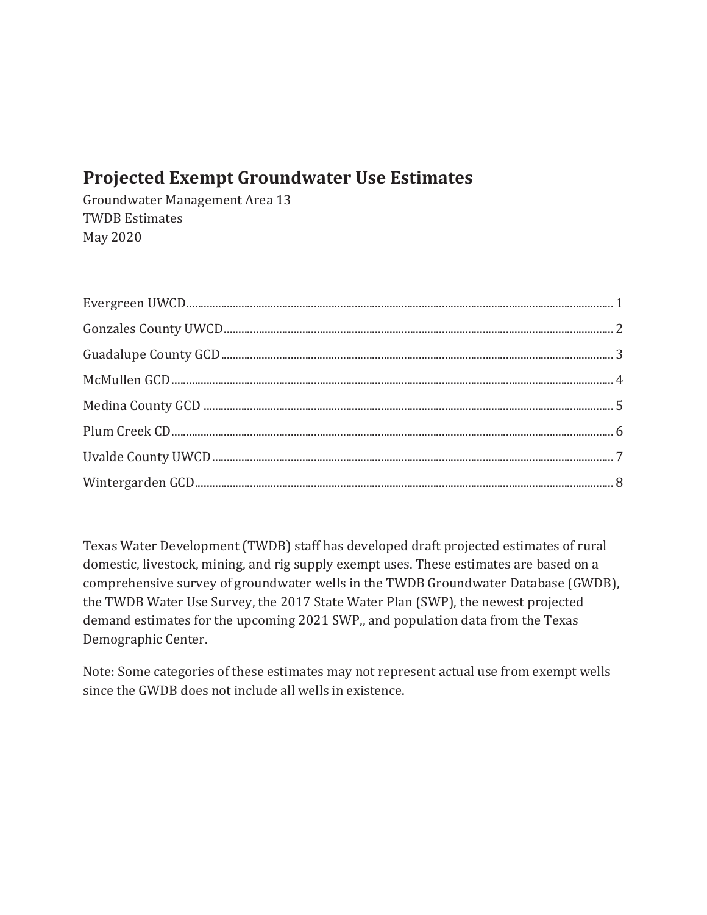# **Projected Exempt Groundwater Use Estimates**

Groundwater Management Area 13 **TWDB** Estimates May 2020

Texas Water Development (TWDB) staff has developed draft projected estimates of rural domestic, livestock, mining, and rig supply exempt uses. These estimates are based on a comprehensive survey of groundwater wells in the TWDB Groundwater Database (GWDB), the TWDB Water Use Survey, the 2017 State Water Plan (SWP), the newest projected demand estimates for the upcoming 2021 SWP,, and population data from the Texas Demographic Center.

Note: Some categories of these estimates may not represent actual use from exempt wells since the GWDB does not include all wells in existence.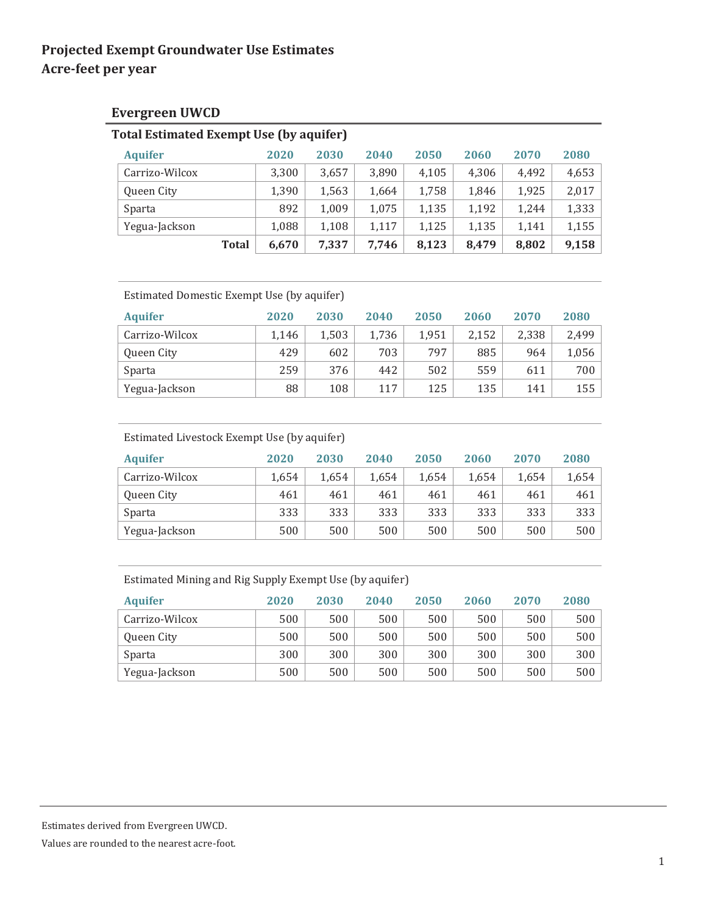### **Evergreen UWCD**

|                | <b>Total Estimated Exempt Use (by aquifer)</b> |       |       |       |       |       |       |  |  |  |  |  |  |
|----------------|------------------------------------------------|-------|-------|-------|-------|-------|-------|--|--|--|--|--|--|
| <b>Aquifer</b> | 2020                                           | 2030  | 2040  | 2050  | 2060  | 2070  | 2080  |  |  |  |  |  |  |
| Carrizo-Wilcox | 3,300                                          | 3,657 | 3,890 | 4,105 | 4,306 | 4,492 | 4,653 |  |  |  |  |  |  |
| Queen City     | 1,390                                          | 1,563 | 1,664 | 1,758 | 1,846 | 1,925 | 2,017 |  |  |  |  |  |  |
| Sparta         | 892                                            | 1,009 | 1,075 | 1,135 | 1,192 | 1.244 | 1,333 |  |  |  |  |  |  |
| Yegua-Jackson  | 1,088                                          | 1,108 | 1,117 | 1,125 | 1,135 | 1,141 | 1,155 |  |  |  |  |  |  |
| <b>Total</b>   | 6,670                                          | 7,337 | 7.746 | 8,123 | 8.479 | 8,802 | 9,158 |  |  |  |  |  |  |

| Estimated Domestic Exempt Use (by aquifer) |       |       |       |       |       |       |       |  |  |  |  |
|--------------------------------------------|-------|-------|-------|-------|-------|-------|-------|--|--|--|--|
| <b>Aquifer</b>                             | 2020  | 2030  | 2040  | 2050  | 2060  | 2070  | 2080  |  |  |  |  |
| Carrizo-Wilcox                             | 1,146 | 1,503 | 1,736 | 1.951 | 2,152 | 2.338 | 2,499 |  |  |  |  |
| Queen City                                 | 429   | 602   | 703   | 797   | 885   | 964   | 1,056 |  |  |  |  |
| Sparta                                     | 259   | 376   | 442   | 502   | 559   | 611   | 700   |  |  |  |  |
| Yegua-Jackson                              | 88    | 108   | 117   | 125   | 135   | 141   | 155   |  |  |  |  |

#### Estimated Livestock Exempt Use (by aquifer)

| <b>Aquifer</b> | 2020  | 2030  | 2040  | 2050  | 2060  | 2070  | 2080  |
|----------------|-------|-------|-------|-------|-------|-------|-------|
| Carrizo-Wilcox | 1.654 | 1.654 | 1.654 | 1.654 | 1,654 | 1.654 | 1,654 |
| Queen City     | 461   | 461   | 461   | 461   | 461   | 461   | 461   |
| Sparta         | 333   | 333   | 333   | 333   | 333   | 333   | 333   |
| Yegua-Jackson  | 500   | 500   | 500   | 500   | 500   | 500   | 500   |

### Estimated Mining and Rig Supply Exempt Use (by aquifer)

| <b>Aquifer</b> | 2020 | 2030 | 2040 | 2050 | 2060 | 2070 | 2080 |
|----------------|------|------|------|------|------|------|------|
| Carrizo-Wilcox | 500  | 500  | 500  | 500  | 500  | 500  | 500  |
| Queen City     | 500  | 500  | 500  | 500  | 500  | 500  | 500  |
| Sparta         | 300  | 300  | 300  | 300  | 300  | 300  | 300  |
| Yegua-Jackson  | 500  | 500  | 500  | 500  | 500  | 500  | 500  |

Estimates derived from Evergreen UWCD.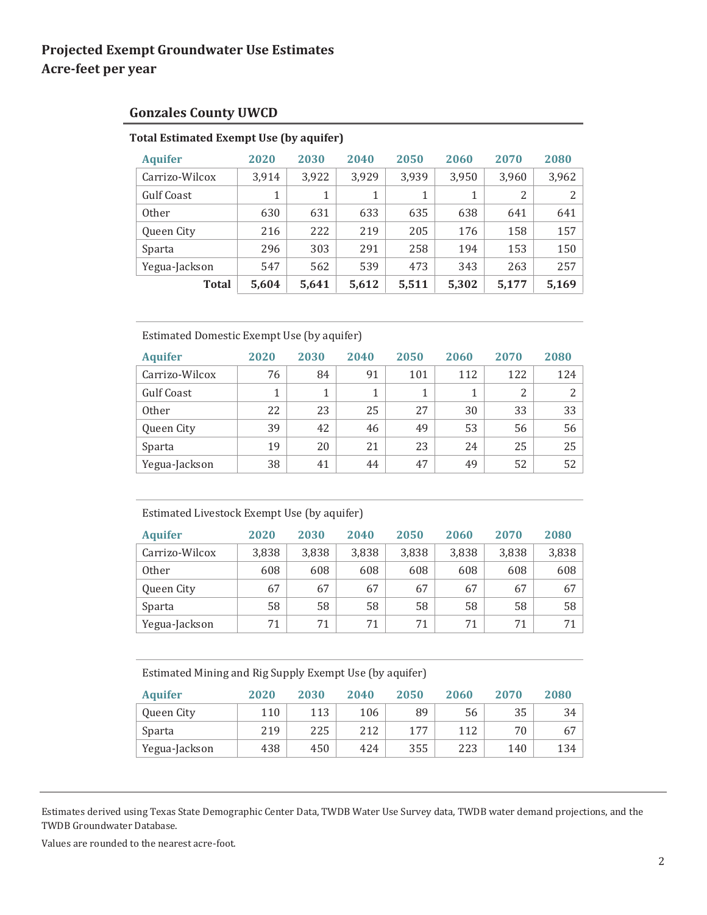### **Gonzales County UWCD**

### **Total Estimated Exempt Use (by aquifer)**

| <b>Aquifer</b> | 2020  | 2030  | 2040  | 2050  | 2060  | 2070  | 2080  |
|----------------|-------|-------|-------|-------|-------|-------|-------|
| Carrizo-Wilcox | 3,914 | 3,922 | 3,929 | 3,939 | 3,950 | 3,960 | 3,962 |
| Gulf Coast     | 1     | 1     | 1     | 1     | 1     | 2     | 2     |
| <b>Other</b>   | 630   | 631   | 633   | 635   | 638   | 641   | 641   |
| Queen City     | 216   | 222   | 219   | 205   | 176   | 158   | 157   |
| Sparta         | 296   | 303   | 291   | 258   | 194   | 153   | 150   |
| Yegua-Jackson  | 547   | 562   | 539   | 473   | 343   | 263   | 257   |
| <b>Total</b>   | 5,604 | 5,641 | 5,612 | 5,511 | 5,302 | 5,177 | 5,169 |

#### Estimated Domestic Exempt Use (by aquifer)

| <b>Aquifer</b> | 2020 | 2030 | 2040 | 2050 | 2060 | 2070 | 2080 |
|----------------|------|------|------|------|------|------|------|
| Carrizo-Wilcox | 76   | 84   | 91   | 101  | 112  | 122  | 124  |
| Gulf Coast     |      |      |      |      |      | 2    | 2    |
| <b>Other</b>   | 22   | 23   | 25   | 27   | 30   | 33   | 33   |
| Queen City     | 39   | 42   | 46   | 49   | 53   | 56   | 56   |
| Sparta         | 19   | 20   | 21   | 23   | 24   | 25   | 25   |
| Yegua-Jackson  | 38   | 41   | 44   | 47   | 49   | 52   | 52   |

#### Estimated Livestock Exempt Use (by aquifer)

| <b>Aquifer</b> | 2020  | 2030  | 2040  | 2050  | 2060  | 2070  | 2080  |
|----------------|-------|-------|-------|-------|-------|-------|-------|
| Carrizo-Wilcox | 3,838 | 3,838 | 3,838 | 3,838 | 3,838 | 3,838 | 3,838 |
| <b>Other</b>   | 608   | 608   | 608   | 608   | 608   | 608   | 608   |
| Queen City     | 67    | 67    | 67    | 67    | 67    | 67    | 67    |
| Sparta         | 58    | 58    | 58    | 58    | 58    | 58    | 58    |
| Yegua-Jackson  | 71    | 71    | 71    | 71    | 71    | 71    | 71    |

Estimated Mining and Rig Supply Exempt Use (by aquifer)

| <b>Aquifer</b> | 2020 | 2030 | 2040 | 2050 | 2060 | 2070 | 2080 |
|----------------|------|------|------|------|------|------|------|
| Queen City     | 110  | 113  | 106  | 89   | 56   | 35   | 34   |
| Sparta         | 219  | 225  | 212  | 177  | 112  | 70   | 67   |
| Yegua-Jackson  | 438  | 450  | 424  | 355  | 223  | 140  | 134  |

Estimates derived using Texas State Demographic Center Data, TWDB Water Use Survey data, TWDB water demand projections, and the TWDB Groundwater Database.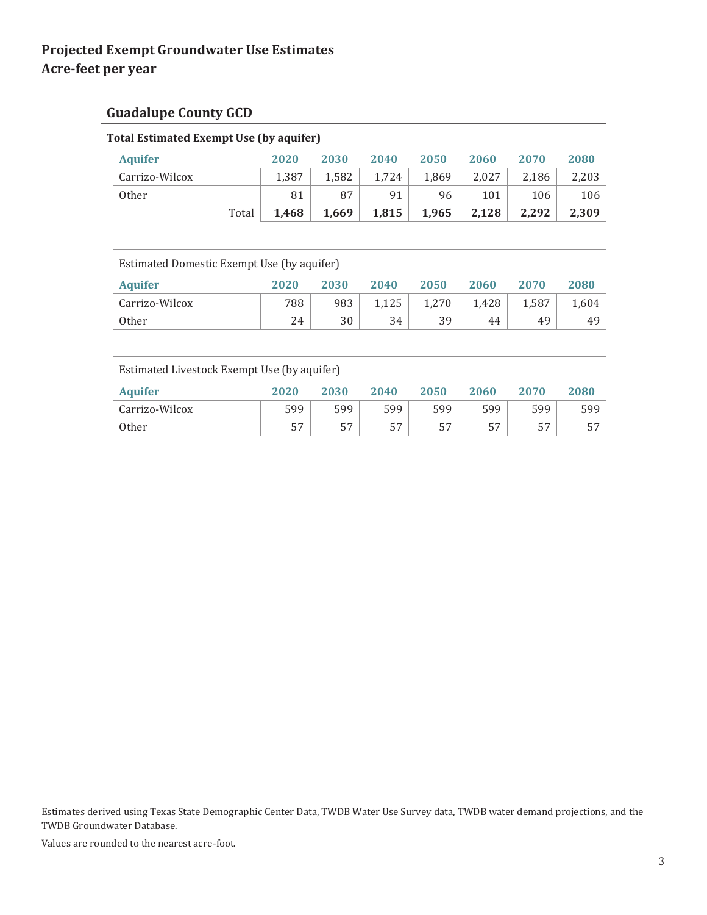# **Guadalupe County GCD**

# **Total Estimated Exempt Use (by aquifer)**

| <b>Aquifer</b> |       | 2020  | 2030  | 2040  | 2050  | 2060  | 2070  | 2080  |
|----------------|-------|-------|-------|-------|-------|-------|-------|-------|
| Carrizo-Wilcox |       | 1.387 | 1.582 | 1,724 | 1,869 | 2.027 | 2,186 | 2,203 |
| Other          |       | 81    | 87    | 91    | 96    | 101   | 106   | 106   |
|                | Total | 1,468 | 1,669 | 1,815 | 1,965 | 2,128 | 2,292 | 2,309 |

Estimated Domestic Exempt Use (by aquifer)

| <b>Aquifer</b> | 2020 | 2030 | 2040  | 2050  | 2060  | 2070  | 2080  |
|----------------|------|------|-------|-------|-------|-------|-------|
| Carrizo-Wilcox | 788  | 983  | 1.125 | 1.270 | 1.428 | 1,587 | 1.604 |
| Other          | 24   | 30   | 34    | 39    | 44    | 49    | 49    |

Estimated Livestock Exempt Use (by aquifer)

| <b>Aquifer</b> | 2020      | 2030 | 2040      | 2050 | 2060 | 2070 | 2080 |
|----------------|-----------|------|-----------|------|------|------|------|
| Carrizo-Wilcox | 599       | 599  | 599       | 599  | 599  | 599  | 599  |
| <b>Other</b>   | --<br>ر ر |      | 57<br>، ب | 57   | 57   |      | --   |

Estimates derived using Texas State Demographic Center Data, TWDB Water Use Survey data, TWDB water demand projections, and the TWDB Groundwater Database.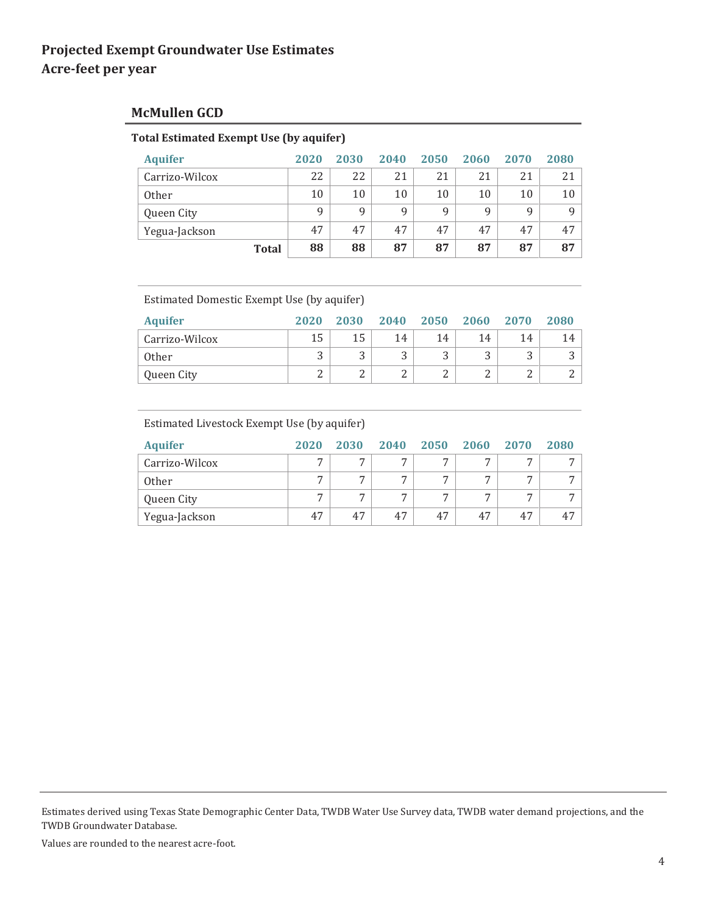### **McMullen GCD**

#### **Total Estimated Exempt Use (by aquifer)**

| <b>Aquifer</b> | 2020 | 2030 | 2040 | 2050 | 2060 | 2070 | 2080 |
|----------------|------|------|------|------|------|------|------|
| Carrizo-Wilcox | 22   | 22   | 21   | 21   | 21   | 21   | 21   |
| <b>Other</b>   | 10   | 10   | 10   | 10   | 10   | 10   | 10   |
| Queen City     | 9    | 9    | 9    | 9    | q    | 9    | Q    |
| Yegua-Jackson  | 47   | 47   | 47   | 47   | 47   | 47   | 47   |
| <b>Total</b>   | 88   | 88   | 87   | 87   | 87   | 87   | 87   |

Estimated Domestic Exempt Use (by aquifer)

| <b>Aquifer</b> | 2020   | 2030 | 2040   | 2050 | 2060 | 2070 | 2080 |
|----------------|--------|------|--------|------|------|------|------|
| Carrizo-Wilcox | 15     | 15   | 14     | 14   | 14   | 14   | 14   |
| <b>Other</b>   | J      | л. . | ت      | . .  | . .  | J    |      |
| Queen City     | ⌒<br>↵ | ⊷    | ໍ<br>∸ | ▵    |      |      |      |

#### Estimated Livestock Exempt Use (by aquifer)

| <b>Aquifer</b> | 2020           | 2030           | 2040           | 2050 | 2060           | 2070           | 2080           |
|----------------|----------------|----------------|----------------|------|----------------|----------------|----------------|
| Carrizo-Wilcox | $\overline{ }$ | $\overline{ }$ | $\overline{ }$ | ⇁    | $\overline{ }$ | $\overline{ }$ | $\overline{ }$ |
| <b>Other</b>   | ⇁              | ⇁              | ⇁              | ⇁    | −              | $\overline{ }$ | $\overline{ }$ |
| Queen City     | $\overline{ }$ | $\overline{ }$ | ⇁              | ⇁    | −              | $\overline{ }$ | $\overline{ }$ |
| Yegua-Jackson  | 47             | 47             | 47             | 47   | 47             | 47             | 47             |

Estimates derived using Texas State Demographic Center Data, TWDB Water Use Survey data, TWDB water demand projections, and the TWDB Groundwater Database.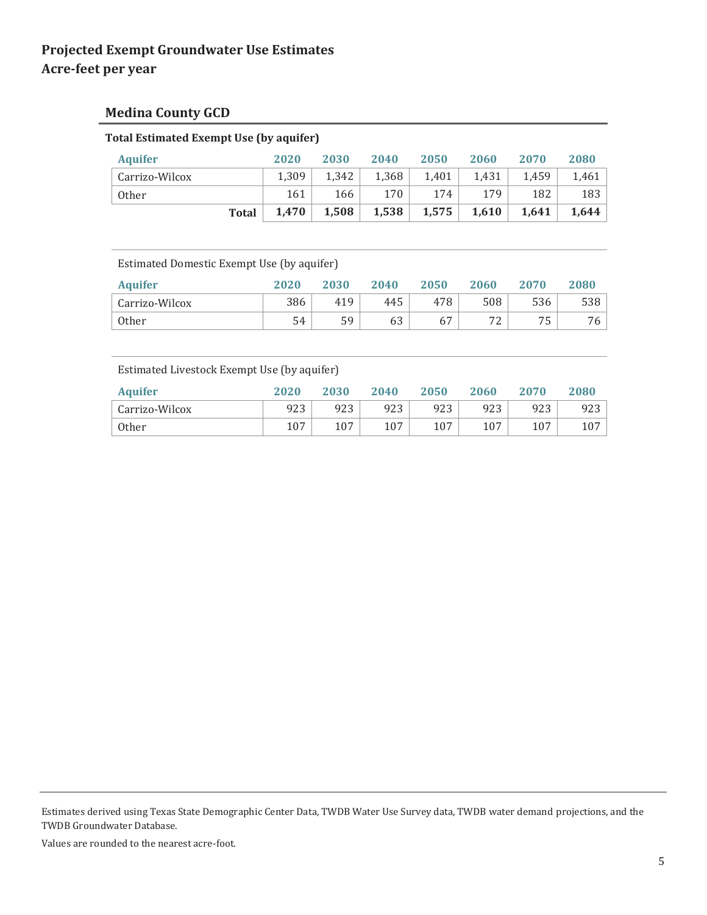### **Medina County GCD**

| <u>tudi estimateu exempliose (by aquillei J</u> |       |       |       |       |       |       |       |
|-------------------------------------------------|-------|-------|-------|-------|-------|-------|-------|
| <b>Aquifer</b>                                  | 2020  | 2030  | 2040  | 2050  | 2060  | 2070  | 2080  |
| Carrizo-Wilcox                                  | 1.309 | 1.342 | 1.368 | 1.401 | 1.431 | 1.459 | 1.461 |
| <b>Other</b>                                    | 161   | 166   | 170   | 174   | 179   | 182   | 183   |
| <b>Total</b>                                    | 1.470 | 1,508 | 1,538 | 1,575 | 1,610 | 1,641 | 1.644 |

**Total Estimated Exempt Use (by aquifer)**

Estimated Domestic Exempt Use (by aquifer)

| <b>Aquifer</b> | 2020 | 2030 | 2040 | 2050 | 2060    | 2070 | 2080 |
|----------------|------|------|------|------|---------|------|------|
| Carrizo-Wilcox | 386  | 419  | 445  | 478  | 508     | 536  | 538  |
| Other          | 54   | 59   | 63   | 67   | 77<br>∼ |      | 76 I |

Estimated Livestock Exempt Use (by aquifer)

| <b>Aquifer</b> | 2020 | 2030 | 2040 | 2050 | 2060 | 2070 | 2080 |
|----------------|------|------|------|------|------|------|------|
| Carrizo-Wilcox | 923  | 923  | 923  | 923  | 923  | 923  | 923  |
| <b>Other</b>   | 107  | 107  | 107  | 107  | 107  | 107  | 107  |

Estimates derived using Texas State Demographic Center Data, TWDB Water Use Survey data, TWDB water demand projections, and the TWDB Groundwater Database.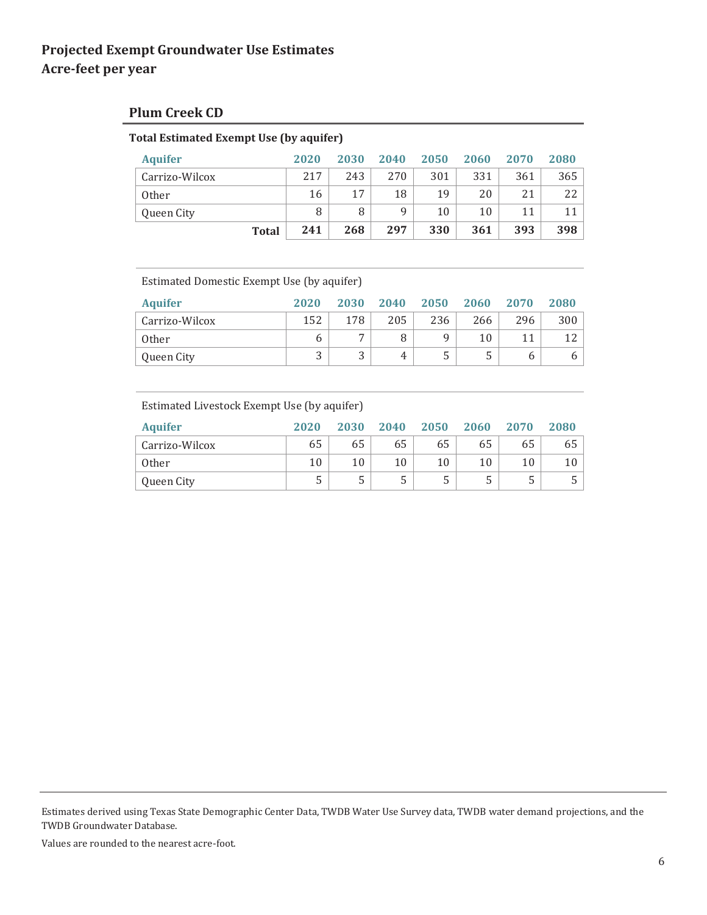### **Plum Creek CD**

#### **Total Estimated Exempt Use (by aquifer)**

| <b>Aquifer</b> | 2020 | 2030 | 2040 | 2050 | 2060 | 2070 | 2080 |
|----------------|------|------|------|------|------|------|------|
| Carrizo-Wilcox | 217  | 243  | 270  | 301  | 331  | 361  | 365  |
| <b>Other</b>   | 16   | 17   | 18   | 19   | 20   | 21   | 22   |
| Queen City     | 8    | 8    | 9    | 10   | 10   | 11   | 11   |
| <b>Total</b>   | 241  | 268  | 297  | 330  | 361  | 393  | 398  |

Estimated Domestic Exempt Use (by aquifer)

| <b>Aquifer</b> | 2020   | 2030 | 2040 | 2050 | 2060 | 2070 | 2080 |
|----------------|--------|------|------|------|------|------|------|
| Carrizo-Wilcox | 152    | 178  | 205  | 236  | 266  | 296  | 300  |
| <b>Other</b>   | o      | −    |      | a    | 10   |      |      |
| Queen City     | ົ<br>ر | . .  | Δ.   | . .  |      |      |      |

#### Estimated Livestock Exempt Use (by aquifer)

| <b>Aquifer</b> | 2020   | 2030 | 2040 | 2050 | 2060 | 2070 | 2080 |
|----------------|--------|------|------|------|------|------|------|
| Carrizo-Wilcox | 65     | 65   | 65   | 65   | 65   | 65   | 65 l |
| <b>Other</b>   | 10     |      | 10   |      | 10   | 10   |      |
| Queen City     | ∽<br>ر | ت    | ل    |      |      | ັ    |      |

Estimates derived using Texas State Demographic Center Data, TWDB Water Use Survey data, TWDB water demand projections, and the TWDB Groundwater Database.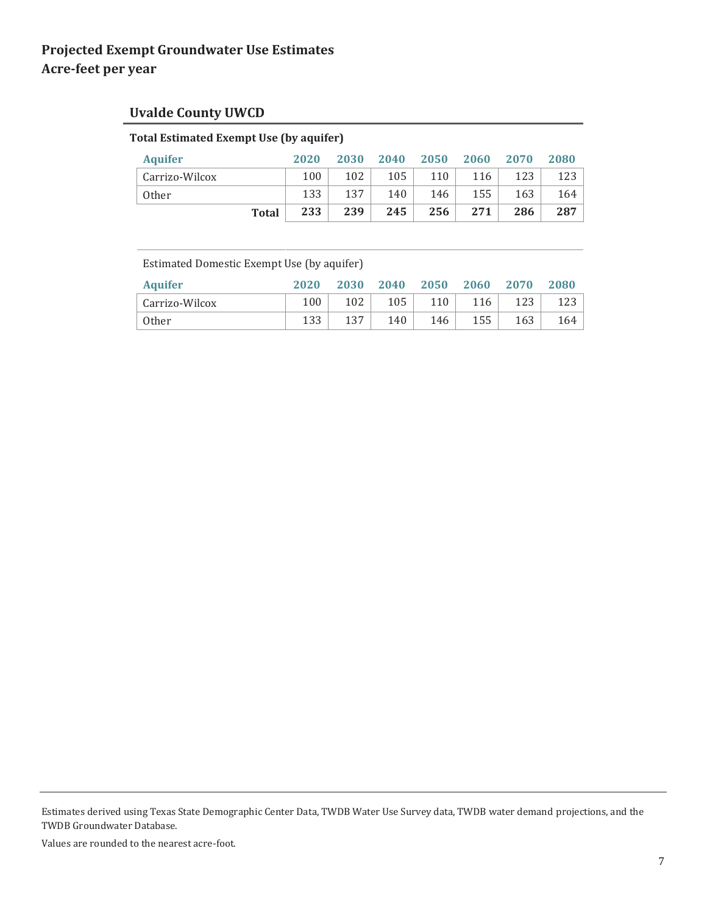# **Uvalde County UWCD**

### **Total Estimated Exempt Use (by aquifer)**

| <b>Aquifer</b> | 2020 | 2030 | 2040 | 2050 | 2060 | 2070 | 2080 |
|----------------|------|------|------|------|------|------|------|
| Carrizo-Wilcox | 100  | 102  | 105  | 110  | 116  | 123  | 123  |
| <b>Other</b>   | 133  | 137  | 140  | 146  | 155  | 163  | 164  |
| <b>Total</b>   | 233  | 239  | 245  | 256  | 271  | 286  | 287  |

Estimated Domestic Exempt Use (by aquifer)

| <b>Aquifer</b> | 2020 | 2030 | 2040 | 2050 | 2060 | 2070 | 2080 |
|----------------|------|------|------|------|------|------|------|
| Carrizo-Wilcox | 100  | 102  | 105  | 110  | 116  | 123  | 123  |
| <b>Other</b>   | 133  | 137  | 140  | 146  | 155  | 163  | 164  |

Estimates derived using Texas State Demographic Center Data, TWDB Water Use Survey data, TWDB water demand projections, and the TWDB Groundwater Database.